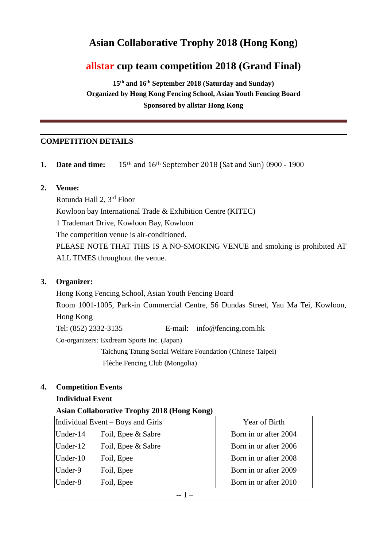# **Asian Collaborative Trophy 2018 (Hong Kong)**

## **allstar cup team competition 2018 (Grand Final)**

**15th and 16th September 2018 (Saturday and Sunday) Organized by Hong Kong Fencing School, Asian Youth Fencing Board Sponsored by allstar Hong Kong** 

## **COMPETITION DETAILS**

- **1. Date and time:** 15th and 16th September 2018 (Sat and Sun) 0900 1900
- **2. Venue:**

Rotunda Hall 2, 3rd Floor Kowloon bay International Trade & Exhibition Centre (KITEC) 1 Trademart Drive, Kowloon Bay, Kowloon The competition venue is air-conditioned. PLEASE NOTE THAT THIS IS A NO-SMOKING VENUE and smoking is prohibited AT ALL TIMES throughout the venue.

## **3. Organizer:**

Hong Kong Fencing School, Asian Youth Fencing Board Room 1001-1005, Park-in Commercial Centre, 56 Dundas Street, Yau Ma Tei, Kowloon, Hong Kong Tel: (852) 2332-3135 E-mail: info@fencing.com.hk Co-organizers: Exdream Sports Inc. (Japan) Taichung Tatung Social Welfare Foundation (Chinese Taipei) Flèche Fencing Club (Mongolia)

## **4. Competition Events**

## **Individual Event**

## **Asian Collaborative Trophy 2018 (Hong Kong)**

| Individual Event – Boys and Girls |                    | Year of Birth         |
|-----------------------------------|--------------------|-----------------------|
| Under-14                          | Foil, Epee & Sabre | Born in or after 2004 |
| Under-12                          | Foil, Epee & Sabre | Born in or after 2006 |
| $Under-10$                        | Foil, Epee         | Born in or after 2008 |
| Under-9                           | Foil, Epee         | Born in or after 2009 |
| Under-8                           | Foil, Epee         | Born in or after 2010 |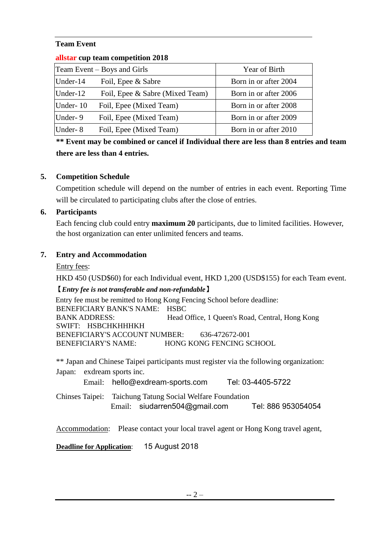## **Team Event**

| $\frac{1}{2}$               |                                 |                       |  |
|-----------------------------|---------------------------------|-----------------------|--|
| Team Event – Boys and Girls |                                 | Year of Birth         |  |
| Under-14                    | Foil, Epee & Sabre              | Born in or after 2004 |  |
| Under-12                    | Foil, Epee & Sabre (Mixed Team) | Born in or after 2006 |  |
| Under-10                    | Foil, Epee (Mixed Team)         | Born in or after 2008 |  |
| Under-9                     | Foil, Epee (Mixed Team)         | Born in or after 2009 |  |
| Under-8                     | Foil, Epee (Mixed Team)         | Born in or after 2010 |  |

#### **allstar cup team competition 2018**

**\*\* Event may be combined or cancel if Individual there are less than 8 entries and team there are less than 4 entries.** 

## **5. Competition Schedule**

Competition schedule will depend on the number of entries in each event. Reporting Time will be circulated to participating clubs after the close of entries.

## **6. Participants**

 Each fencing club could entry **maximum 20** participants, due to limited facilities. However, the host organization can enter unlimited fencers and teams.

## **7. Entry and Accommodation**

Entry fees:

HKD 450 (USD\$60) for each Individual event, HKD 1,200 (USD\$155) for each Team event.

## **【***Entry fee is not transferable and non-refundable***】**

Entry fee must be remitted to Hong Kong Fencing School before deadline: BENEFICIARY BANK'S NAME: HSBC BANK ADDRESS: Head Office, 1 Queen's Road, Central, Hong Kong SWIFT: HSBCHKHHHKH BENEFICIARY'S ACCOUNT NUMBER: 636-472672-001 BENEFICIARY'S NAME: HONG KONG FENCING SCHOOL

\*\* Japan and Chinese Taipei participants must register via the following organization: Japan: exdream sports inc.

Email: [hello@exdream-sports.com](mailto:hello@exdream-sports.com) Tel: [03-4405-5722](tel:03-4405-5722)

Chinses Taipei: Taichung Tatung Social Welfare Foundation Email: [siudarren504@gmail.com](mailto:siudarren504@gmail.com) Tel: 886 953054054

Accommodation: Please contact your local travel agent or Hong Kong travel agent,

**Deadline for Application**:15 August 2018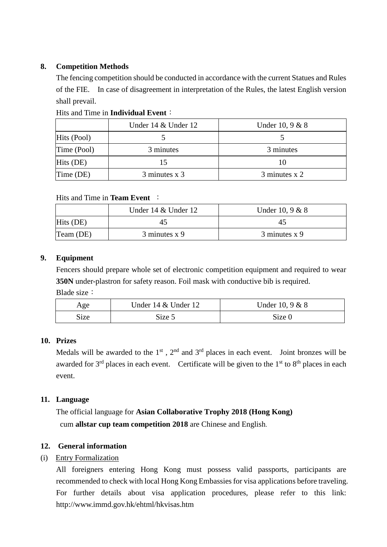## **8. Competition Methods**

The fencing competition should be conducted in accordance with the current Statues and Rules of the FIE. In case of disagreement in interpretation of the Rules, the latest English version shall prevail.

|             | Under 14 & Under 12 | Under 10, $9 & 8$ |
|-------------|---------------------|-------------------|
| Hits (Pool) |                     |                   |
| Time (Pool) | 3 minutes           | 3 minutes         |
| $Hits$ (DE) | 15                  | 10                |
| Time (DE)   | 3 minutes x 3       | 3 minutes x 2     |

## Hits and Time in **Individual Event**:

## Hits and Time in **Team Event** :

|           | Under $14 \&$ Under $12$ | Under 10, $9 & 8$ |
|-----------|--------------------------|-------------------|
| Hits (DE) |                          | $4^{\prime}$      |
| Team (DE) | $3$ minutes x 9          | 3 minutes x 9     |

## **9. Equipment**

Fencers should prepare whole set of electronic competition equipment and required to wear **350N** under-plastron for safety reason. Foil mask with conductive bib is required. Blade size:

| Age  | Under 14 & Under 12 | Under 10, 9 & 8 |
|------|---------------------|-----------------|
| Size | Size 5              | Size 0          |

## **10. Prizes**

Medals will be awarded to the  $1<sup>st</sup>$ ,  $2<sup>nd</sup>$  and  $3<sup>rd</sup>$  places in each event. Joint bronzes will be awarded for  $3<sup>rd</sup>$  places in each event. Certificate will be given to the  $1<sup>st</sup>$  to  $8<sup>th</sup>$  places in each event.

## **11. Language**

The official language for **Asian Collaborative Trophy 2018 (Hong Kong)** cum **allstar cup team competition 2018** are Chinese and English.

## **12. General information**

## (i) Entry Formalization

All foreigners entering Hong Kong must possess valid passports, participants are recommended to check with local Hong Kong Embassies for visa applications before traveling. For further details about visa application procedures, please refer to this link: http://www.immd.gov.hk/ehtml/hkvisas.htm